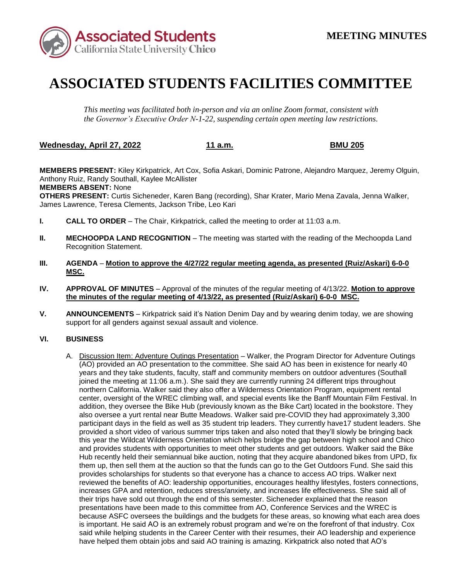

## **ASSOCIATED STUDENTS FACILITIES COMMITTEE**

*This meeting was facilitated both in-person and via an online Zoom format, consistent with the Governor's Executive Order N-1-22, suspending certain open meeting law restrictions.* 

**Wednesday, April 27, 2022 11 a.m. BMU 205** 

**MEMBERS PRESENT:** Kiley Kirkpatrick, Art Cox, Sofia Askari, Dominic Patrone, Alejandro Marquez, Jeremy Olguin, Anthony Ruiz, Randy Southall, Kaylee McAllister **MEMBERS ABSENT:** None

**OTHERS PRESENT:** Curtis Sicheneder, Karen Bang (recording), Shar Krater, Mario Mena Zavala, Jenna Walker, James Lawrence, Teresa Clements, Jackson Tribe, Leo Kari

- **I. CALL TO ORDER**  The Chair, Kirkpatrick, called the meeting to order at 11:03 a.m.
- **II. MECHOOPDA LAND RECOGNITION** The meeting was started with the reading of the Mechoopda Land Recognition Statement.
- **III. AGENDA Motion to approve the 4/27/22 regular meeting agenda, as presented (Ruiz/Askari) 6-0-0 MSC.**
- **the minutes of the regular meeting of 4/13/22, as presented (Ruiz/Askari) 6-0-0 MSC. IV. APPROVAL OF MINUTES** – Approval of the minutes of the regular meeting of 4/13/22. **Motion to approve**
- **V. ANNOUNCEMENTS**  Kirkpatrick said it's Nation Denim Day and by wearing denim today, we are showing support for all genders against sexual assault and violence.

## **VI. BUSINESS**

 (AO) provided an AO presentation to the committee. She said AO has been in existence for nearly 40 center, oversight of the WREC climbing wall, and special events like the Banff Mountain Film Festival. In provided a short video of various summer trips taken and also noted that they'll slowly be bringing back this year the Wildcat Wilderness Orientation which helps bridge the gap between high school and Chico is important. He said AO is an extremely robust program and we're on the forefront of that industry. Cox A. Discussion Item: Adventure Outings Presentation - Walker, the Program Director for Adventure Outings years and they take students, faculty, staff and community members on outdoor adventures (Southall joined the meeting at 11:06 a.m.). She said they are currently running 24 different trips throughout northern California. Walker said they also offer a Wilderness Orientation Program, equipment rental addition, they oversee the Bike Hub (previously known as the Bike Cart) located in the bookstore. They also oversee a yurt rental near Butte Meadows. Walker said pre-COVID they had approximately 3,300 participant days in the field as well as 35 student trip leaders. They currently have17 student leaders. She and provides students with opportunities to meet other students and get outdoors. Walker said the Bike Hub recently held their semiannual bike auction, noting that they acquire abandoned bikes from UPD, fix them up, then sell them at the auction so that the funds can go to the Get Outdoors Fund. She said this provides scholarships for students so that everyone has a chance to access AO trips. Walker next reviewed the benefits of AO: leadership opportunities, encourages healthy lifestyles, fosters connections, increases GPA and retention, reduces stress/anxiety, and increases life effectiveness. She said all of their trips have sold out through the end of this semester. Sicheneder explained that the reason presentations have been made to this committee from AO, Conference Services and the WREC is because ASFC oversees the buildings and the budgets for these areas, so knowing what each area does said while helping students in the Career Center with their resumes, their AO leadership and experience have helped them obtain jobs and said AO training is amazing. Kirkpatrick also noted that AO's